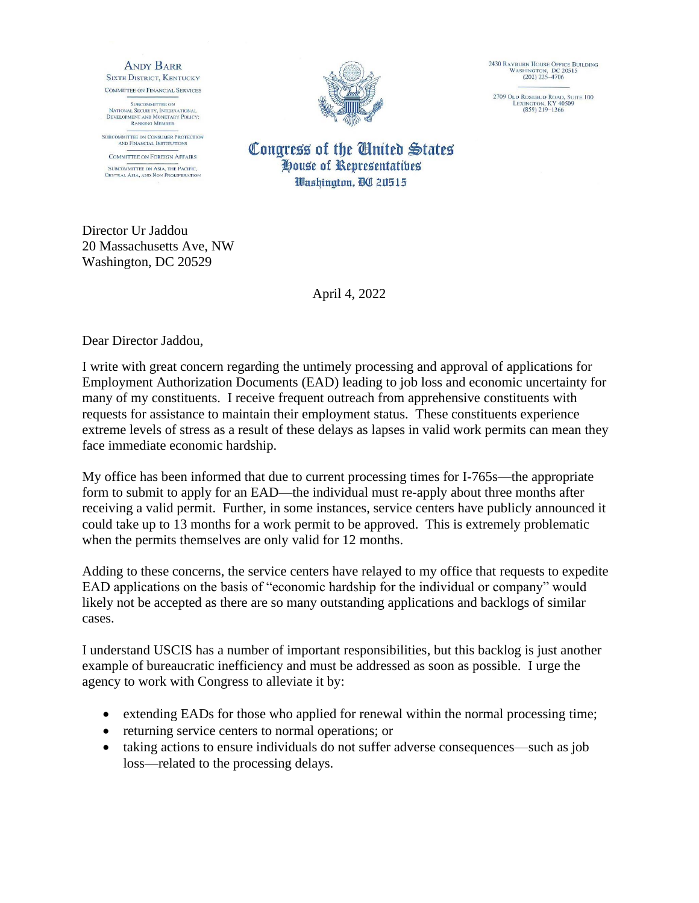**ANDY BARR SIXTH DISTRICT, KENTUCKY** COMMITTEE ON FINANCIAL SERVICES

**SUBCOMMITTEE ON** SUBCOMMITTEE ON<br>NATIONAL SECURITY, INTERNATIONAL<br>DEVELOPMENT AND MONETARY POLICY:<br>RANKING MEMBER

SUBCOMMITTEE ON CONSUMER PROTECTION<br>AND FINANCIAL INSTITUTIONS

**COMMITTEE ON FOREIGN AFFAIRS SUBCOMMITTEE ON ASIA, THE PACIFIC,<br>CENTRAL ASIA, AND NON PROLIFERATION** 



2430 RAYBURN HOUSE OFFICE BUILDING<br>WASHINGTON, DC 20515<br>(202) 225-4706

2709 Old Rosebud Road, Suite 100<br>LEXINGTON, KY 40509<br>(859) 219–1366

Congress of the United States House of Representatibes Washington, DC 20515

Director Ur Jaddou 20 Massachusetts Ave, NW Washington, DC 20529

April 4, 2022

Dear Director Jaddou,

I write with great concern regarding the untimely processing and approval of applications for Employment Authorization Documents (EAD) leading to job loss and economic uncertainty for many of my constituents. I receive frequent outreach from apprehensive constituents with requests for assistance to maintain their employment status. These constituents experience extreme levels of stress as a result of these delays as lapses in valid work permits can mean they face immediate economic hardship.

My office has been informed that due to current processing times for I-765s—the appropriate form to submit to apply for an EAD—the individual must re-apply about three months after receiving a valid permit. Further, in some instances, service centers have publicly announced it could take up to 13 months for a work permit to be approved. This is extremely problematic when the permits themselves are only valid for 12 months.

Adding to these concerns, the service centers have relayed to my office that requests to expedite EAD applications on the basis of "economic hardship for the individual or company" would likely not be accepted as there are so many outstanding applications and backlogs of similar cases.

I understand USCIS has a number of important responsibilities, but this backlog is just another example of bureaucratic inefficiency and must be addressed as soon as possible. I urge the agency to work with Congress to alleviate it by:

- extending EADs for those who applied for renewal within the normal processing time;
- returning service centers to normal operations; or
- taking actions to ensure individuals do not suffer adverse consequences—such as job loss—related to the processing delays.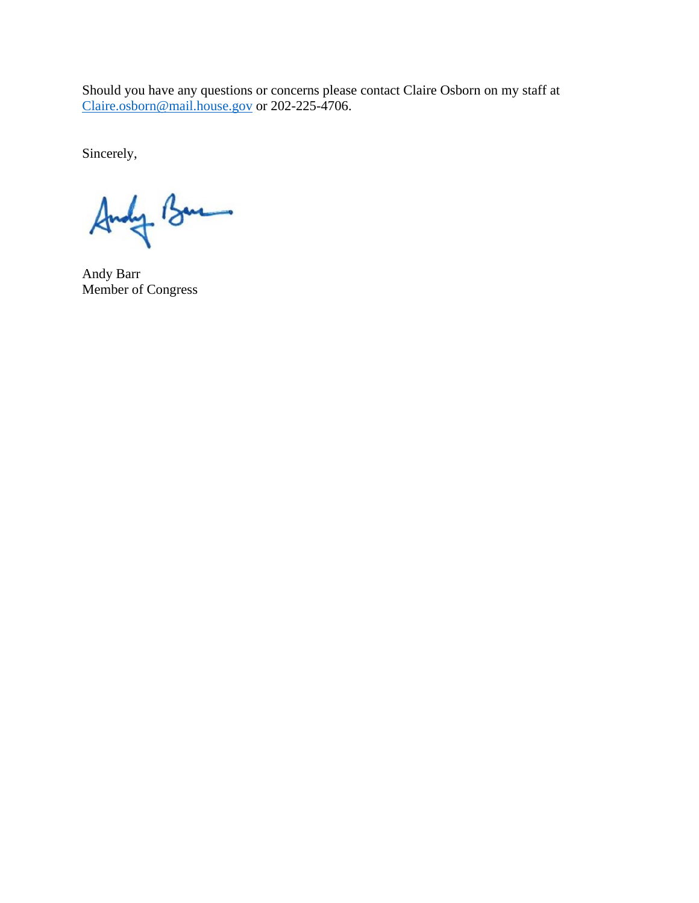Should you have any questions or concerns please contact Claire Osborn on my staff at [Claire.osborn@mail.house.gov](mailto:Claire.osborn@mail.house.gov) or 202-225-4706.

Sincerely,

Andy Bue

Andy Barr Member of Congress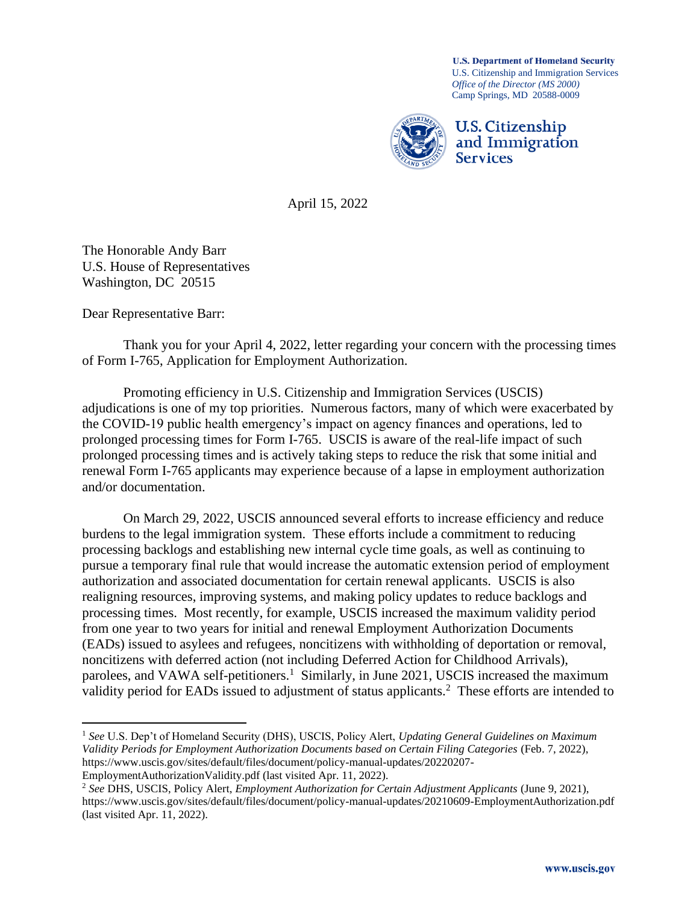**U.S. Department of Homeland Security** U.S. Citizenship and Immigration Services *Office of the Director (MS 2000)* Camp Springs, MD 20588-0009



April 15, 2022

The Honorable Andy Barr U.S. House of Representatives Washington, DC 20515

Dear Representative Barr:

Thank you for your April 4, 2022, letter regarding your concern with the processing times of Form I-765, Application for Employment Authorization.

Promoting efficiency in U.S. Citizenship and Immigration Services (USCIS) adjudications is one of my top priorities. Numerous factors, many of which were exacerbated by the COVID-19 public health emergency's impact on agency finances and operations, led to prolonged processing times for Form I-765. USCIS is aware of the real-life impact of such prolonged processing times and is actively taking steps to reduce the risk that some initial and renewal Form I-765 applicants may experience because of a lapse in employment authorization and/or documentation.

On March 29, 2022, USCIS announced several efforts to increase efficiency and reduce burdens to the legal immigration system. These efforts include a commitment to reducing processing backlogs and establishing new internal cycle time goals, as well as continuing to pursue a temporary final rule that would increase the automatic extension period of employment authorization and associated documentation for certain renewal applicants. USCIS is also realigning resources, improving systems, and making policy updates to reduce backlogs and processing times. Most recently, for example, USCIS increased the maximum validity period from one year to two years for initial and renewal Employment Authorization Documents (EADs) issued to asylees and refugees, noncitizens with withholding of deportation or removal, noncitizens with deferred action (not including Deferred Action for Childhood Arrivals), parolees, and VAWA self-petitioners.<sup>1</sup> Similarly, in June 2021, USCIS increased the maximum validity period for EADs issued to adjustment of status applicants.<sup>2</sup> These efforts are intended to

<sup>1</sup> *See* U.S. Dep't of Homeland Security (DHS), USCIS, Policy Alert, *Updating General Guidelines on Maximum Validity Periods for Employment Authorization Documents based on Certain Filing Categories* (Feb. 7, 2022), https://www.uscis.gov/sites/default/files/document/policy-manual-updates/20220207-

EmploymentAuthorizationValidity.pdf (last visited Apr. 11, 2022).

<sup>2</sup> *See* DHS, USCIS, Policy Alert, *Employment Authorization for Certain Adjustment Applicants* (June 9, 2021), https://www.uscis.gov/sites/default/files/document/policy-manual-updates/20210609-EmploymentAuthorization.pdf (last visited Apr. 11, 2022).